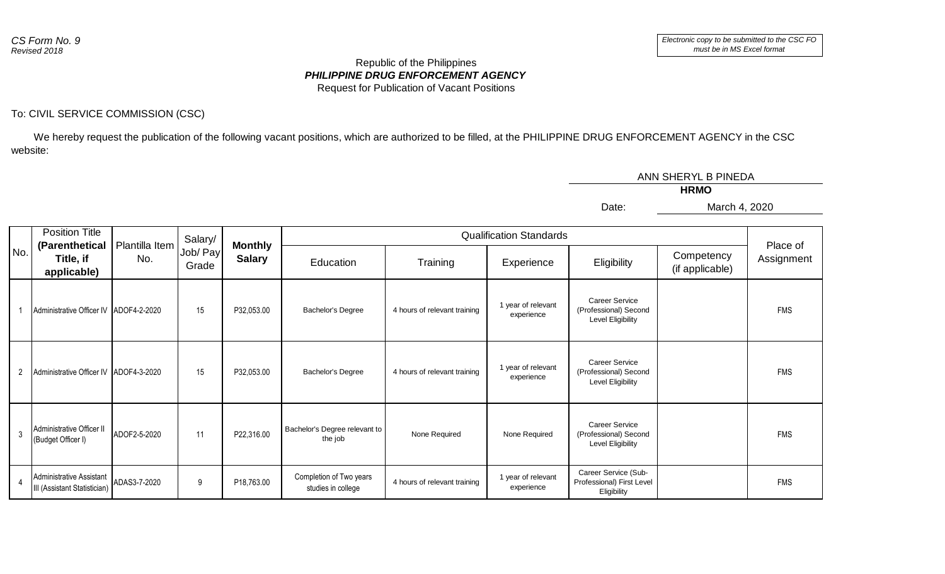## *PHILIPPINE DRUG ENFORCEMENT AGENCY* Republic of the Philippines Request for Publication of Vacant Positions

## To: CIVIL SERVICE COMMISSION (CSC)

 We hereby request the publication of the following vacant positions, which are authorized to be filled, at the PHILIPPINE DRUG ENFORCEMENT AGENCY in the CSC website:

|     |                |                                                          |                |                     |                                 |                                               |                              |                                  | ANN SHERYL B PINEDA                                                        |                               |            |  |
|-----|----------------|----------------------------------------------------------|----------------|---------------------|---------------------------------|-----------------------------------------------|------------------------------|----------------------------------|----------------------------------------------------------------------------|-------------------------------|------------|--|
|     |                |                                                          | <b>HRMO</b>    |                     |                                 |                                               |                              |                                  |                                                                            |                               |            |  |
|     |                |                                                          |                |                     |                                 |                                               |                              |                                  | Date:                                                                      | March 4, 2020                 |            |  |
| No. |                | <b>Position Title</b><br>(Parenthetical                  | Plantilla Item | Salary/<br>Job/ Pay | <b>Monthly</b><br><b>Salary</b> | <b>Qualification Standards</b>                |                              |                                  |                                                                            |                               | Place of   |  |
|     |                | Title, if<br>applicable)                                 | No.            | Grade               |                                 | Education                                     | Training                     | Experience                       | Eligibility                                                                | Competency<br>(if applicable) | Assignment |  |
|     |                | Administrative Officer IV ADOF4-2-2020                   |                | 15                  | P32,053.00                      | Bachelor's Degree                             | 4 hours of relevant training | 1 year of relevant<br>experience | <b>Career Service</b><br>(Professional) Second<br>Level Eligibility        |                               | <b>FMS</b> |  |
|     | $\overline{2}$ | Administrative Officer IV ADOF4-3-2020                   |                | 15                  | P32,053.00                      | Bachelor's Degree                             | 4 hours of relevant training | 1 year of relevant<br>experience | <b>Career Service</b><br>(Professional) Second<br><b>Level Eligibility</b> |                               | <b>FMS</b> |  |
|     | 3              | Administrative Officer II<br>(Budget Officer I)          | ADOF2-5-2020   | 11                  | P22,316.00                      | Bachelor's Degree relevant to<br>the job      | None Required                | None Required                    | <b>Career Service</b><br>(Professional) Second<br><b>Level Eligibility</b> |                               | <b>FMS</b> |  |
|     | $\overline{4}$ | Administrative Assistant<br>III (Assistant Statistician) | ADAS3-7-2020   | 9                   | P18,763.00                      | Completion of Two years<br>studies in college | 4 hours of relevant training | 1 year of relevant<br>experience | Career Service (Sub-<br>Professional) First Level<br>Eligibility           |                               | <b>FMS</b> |  |